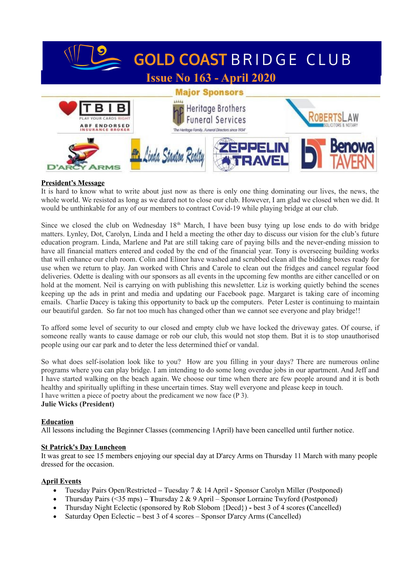

# **President's Message**

It is hard to know what to write about just now as there is only one thing dominating our lives, the news, the whole world. We resisted as long as we dared not to close our club. However, I am glad we closed when we did. It would be unthinkable for any of our members to contract Covid-19 while playing bridge at our club.

Since we closed the club on Wednesday  $18<sup>th</sup>$  March, I have been busy tying up lose ends to do with bridge matters. Lynley, Dot, Carolyn, Linda and I held a meeting the other day to discuss our vision for the club's future education program. Linda, Marlene and Pat are still taking care of paying bills and the never-ending mission to have all financial matters entered and coded by the end of the financial year. Tony is overseeing building works that will enhance our club room. Colin and Elinor have washed and scrubbed clean all the bidding boxes ready for use when we return to play. Jan worked with Chris and Carole to clean out the fridges and cancel regular food deliveries. Odette is dealing with our sponsors as all events in the upcoming few months are either cancelled or on hold at the moment. Neil is carrying on with publishing this newsletter. Liz is working quietly behind the scenes keeping up the ads in print and media and updating our Facebook page. Margaret is taking care of incoming emails. Charlie Dacey is taking this opportunity to back up the computers. Peter Lester is continuing to maintain our beautiful garden. So far not too much has changed other than we cannot see everyone and play bridge!!

To afford some level of security to our closed and empty club we have locked the driveway gates. Of course, if someone really wants to cause damage or rob our club, this would not stop them. But it is to stop unauthorised people using our car park and to deter the less determined thief or vandal.

So what does self-isolation look like to you? How are you filling in your days? There are numerous online programs where you can play bridge. I am intending to do some long overdue jobs in our apartment. And Jeff and I have started walking on the beach again. We choose our time when there are few people around and it is both healthy and spiritually uplifting in these uncertain times. Stay well everyone and please keep in touch. I have written a piece of poetry about the predicament we now face (P 3). **Julie Wicks (President)**

#### **Education**

All lessons including the Beginner Classes (commencing 1April) have been cancelled until further notice.

#### **St Patrick's Day Luncheon**

It was great to see 15 members enjoying our special day at D'arcy Arms on Thursday 11 March with many people dressed for the occasion.

#### **April Events**

- Tuesday Pairs Open/Restricted Tuesday 7 & 14 AprilSponsor Carolyn Miller (Postponed)
- Thursday Pairs (<35 mps) **T**hursday 2 & 9 April Sponsor Lorraine Twyford (Postponed)
- Thursday Night Eclectic (sponsored by Rob Slobom {Decd}) **-** best 3 of 4 scores **(**Cancelled)
- Saturday Open Eclectic **–** best 3 of 4 scores Sponsor D'arcy Arms (Cancelled)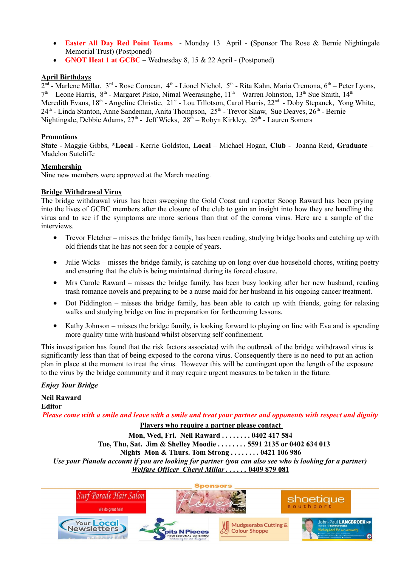- **Easter All Day Red Point Teams** Monday 13 April **(**Sponsor The Rose & Bernie Nightingale Memorial Trust) (Postponed)
- **GNOT Heat 1 at GCBC –** Wednesday 8, 15 & 22 April (Postponed)

## **April Birthdays**

2<sup>nd</sup> - Marlene Millar, 3<sup>rd</sup> - Rose Corocan, 4<sup>th</sup> - Lionel Nichol, 5<sup>th</sup> - Rita Kahn, Maria Cremona, 6<sup>th</sup> – Peter Lyons,  $7<sup>th</sup>$  – Leone Harris, 8<sup>th</sup> - Margaret Pisko, Nimal Weerasinghe, 11<sup>th</sup> – Warren Johnston, 13<sup>th</sup> Sue Smith, 14<sup>th</sup> – Meredith Evans, 18<sup>th</sup> - Angeline Christie, 21<sup>st</sup> - Lou Tillotson, Carol Harris, 22<sup>nd</sup> - Doby Stepanek, Yong White,  $24<sup>th</sup>$  - Linda Stanton, Anne Sandeman, Anita Thompson,  $25<sup>th</sup>$  - Trevor Shaw, Sue Deaves,  $26<sup>th</sup>$  - Bernie Nightingale, Debbie Adams,  $27<sup>th</sup>$  - Jeff Wicks,  $28<sup>th</sup>$  – Robyn Kirkley,  $29<sup>th</sup>$  - Lauren Somers

## **Promotions**

**State** - Maggie Gibbs, **\*Local** - Kerrie Goldston, **Local –** Michael Hogan, **Club** - Joanna Reid, **Graduate –** Madelon Sutcliffe

#### **Membership**

Nine new members were approved at the March meeting.

## **Bridge Withdrawal Virus**

The bridge withdrawal virus has been sweeping the Gold Coast and reporter Scoop Raward has been prying into the lives of GCBC members after the closure of the club to gain an insight into how they are handling the virus and to see if the symptoms are more serious than that of the corona virus. Here are a sample of the interviews.

- Trevor Fletcher misses the bridge family, has been reading, studying bridge books and catching up with old friends that he has not seen for a couple of years.
- $\bullet$  Julie Wicks misses the bridge family, is catching up on long over due household chores, writing poetry and ensuring that the club is being maintained during its forced closure.
- Mrs Carole Raward misses the bridge family, has been busy looking after her new husband, reading trash romance novels and preparing to be a nurse maid for her husband in his ongoing cancer treatment.
- Dot Piddington misses the bridge family, has been able to catch up with friends, going for relaxing walks and studying bridge on line in preparation for forthcoming lessons.
- Kathy Johnson misses the bridge family, is looking forward to playing on line with Eva and is spending more quality time with husband whilst observing self confinement.

This investigation has found that the risk factors associated with the outbreak of the bridge withdrawal virus is significantly less than that of being exposed to the corona virus. Consequently there is no need to put an action plan in place at the moment to treat the virus. However this will be contingent upon the length of the exposure to the virus by the bridge community and it may require urgent measures to be taken in the future.

#### *Enjoy Your Bridge*

**Neil Raward Editor** *Please come with a smile and leave with a smile and treat your partner and opponents with respect and dignity*

**Players who require a partner please contact** 

**Mon, Wed, Fri. Neil Raward . . . . . . . . 0402 417 584 Tue, Thu, Sat. Jim & Shelley Moodie . . . . . . . . 5591 2135 or 0402 634 013 Nights Mon & Thurs. Tom Strong . . . . . . . . 0421 106 986** *Use your Pianola account if you are looking for partner (you can also see who is looking for a partner) Welfare Officer Cheryl Millar . . . . . .* **0409 879 081**